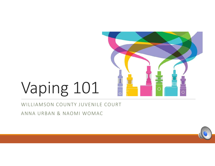

#### WILLIAMSON COUNTY JUVENILE COURT

ANNA URBAN & NAOMI WOMAC

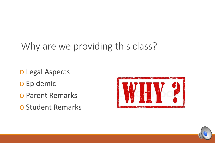## Why are we providing this class?

- o Legal Aspects
- o Epidemic
- o Parent Remarks
- o Student Remarks



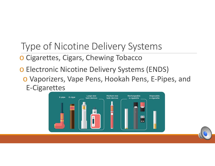## Type of Nicotine Delivery Systems

o Cigarettes, Cigars, Chewing Tobacco

o Electronic Nicotine Delivery Systems (ENDS) o Vaporizers, Vape Pens, Hookah Pens, E‐Pipes, and E‐Cigarettes

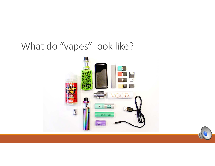### What do "vapes" look like?

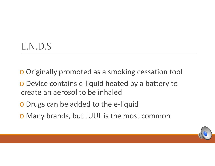## E.N.D.S

- o Originally promoted as a smoking cessation tool
- o Device contains e‐liquid heated by a battery to create an aerosol to be inhaled
- o Drugs can be added to the e‐liquid
- o Many brands, but JUUL is the most common

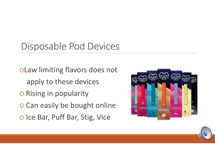## Disposable Pod Devices

<sup>o</sup>Law limiting flavors does not apply to these devices o Rising in popularity o Can easily be bought online o Ice Bar, Puff Bar, Stig, Vice



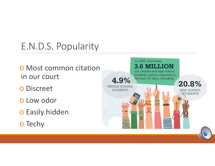## E.N.D.S. Popularity

- o Most common citation in our court
- o Discreet
- o Low odor
- o Easily hidden
- o Techy

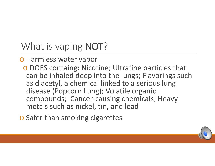What is vaping NOT?

#### o Harmless water vapor

o DOES containg: Nicotine; Ultrafine particles that can be inhaled deep into the lungs; Flavorings such as diacetyl, a chemical linked to a serious lung disease (Popcorn Lung); Volatile organic compounds; Cancer‐causing chemicals; Heavy metals such as nickel, tin, and lead

o Safer than smoking cigarettes

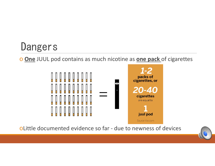o **One** JUUL pod contains as much nicotine as **one pack** of cigarettes



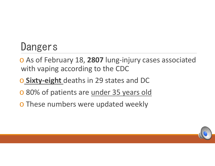- o As of February 18, **2807** lung‐injury cases associated with vaping according to the CDC
- o **Sixty‐eight** deaths in 29 states and DC
- o 80% of patients are under 35 years old
- o These numbers were updated weekly

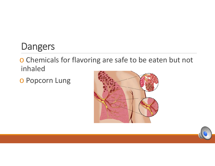o Chemicals for flavoring are safe to be eaten but not inhaled

o Popcorn Lung



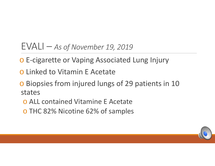#### EVALI – *As of November 19, 2019*

- o E‐cigarette or Vaping Associated Lung Injury
- o Linked to Vitamin E Acetate
- o Biopsies from injured lungs of 29 patients in 10 states
	- o ALL contained Vitamine E Acetate
	- o THC 82% Nicotine 62% of samples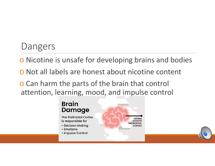- o Nicotine is unsafe for developing brains and bodies
- o Not all labels are honest about nicotine content

o Can harm the parts of the brain that control attention, learning, mood, and impulse control

#### **Brain** Damage **The Prefrontal Cortex**

is responsible for

- Decision Making
- Emotions
- Impulse Control

**VAPING AFFECTS** PREFRONTAL **CORTEX**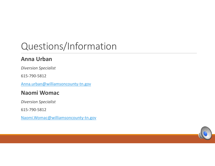## Questions/Information

#### **Anna Urban**

*Diversion Specialist* 

615‐790‐5812

Anna.urban@williamsoncounty-tn.gov

#### **Naomi Womac**

*Diversion Specialist* 

615‐790‐5812

Naomi.Womac@williamsoncounty‐tn.gov